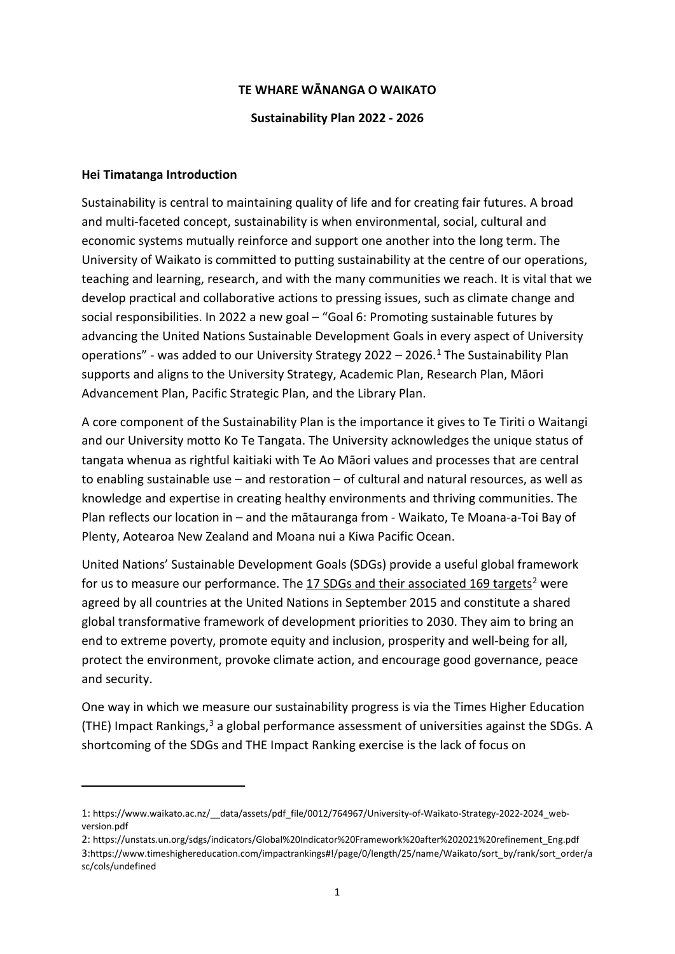### **TE WHARE WĀNANGA O WAIKATO**

#### **Sustainability Plan 2022 - 2026**

#### **Hei Timatanga Introduction**

<u>.</u>

Sustainability is central to maintaining quality of life and for creating fair futures. A broad and multi-faceted concept, sustainability is when environmental, social, cultural and economic systems mutually reinforce and support one another into the long term. The University of Waikato is committed to putting sustainability at the centre of our operations, teaching and learning, research, and with the many communities we reach. It is vital that we develop practical and collaborative actions to pressing issues, such as climate change and social responsibilities. In 2022 a new goal - "Goal 6: Promoting sustainable futures by advancing the United Nations Sustainable Development Goals in every aspect of University operations" - was added to our University Strategy 2022 – 2026.<sup>[1](#page-0-0)</sup> The Sustainability Plan supports and aligns to the University Strategy, Academic Plan, Research Plan, Māori Advancement Plan, Pacific Strategic Plan, and the Library Plan.

A core component of the Sustainability Plan is the importance it gives to Te Tiriti o Waitangi and our University motto Ko Te Tangata. The University acknowledges the unique status of tangata whenua as rightful kaitiaki with Te Ao Māori values and processes that are central to enabling sustainable use – and restoration – of cultural and natural resources, as well as knowledge and expertise in creating healthy environments and thriving communities. The Plan reflects our location in – and the mātauranga from - Waikato, Te Moana-a-Toi Bay of Plenty, Aotearoa New Zealand and Moana nui a Kiwa Pacific Ocean.

United Nations' Sustainable Development Goals (SDGs) provide a useful global framework for us to measure our performance. The 17 SDGs and their associated 169 targets<sup>[2](#page-0-1)</sup> were agreed by all countries at the United Nations in September 2015 and constitute a shared global transformative framework of development priorities to 2030. They aim to bring an end to extreme poverty, promote equity and inclusion, prosperity and well-being for all, protect the environment, provoke climate action, and encourage good governance, peace and security.

One way in which we measure our sustainability progress is via the Times Higher Education (THE) Impact Rankings,<sup>[3](#page-0-2)</sup> a global performance assessment of universities against the SDGs. A shortcoming of the SDGs and THE Impact Ranking exercise is the lack of focus on

<span id="page-0-1"></span><span id="page-0-0"></span><sup>1:</sup> https://www.waikato.ac.nz/\_\_data/assets/pdf\_file/0012/764967/University-of-Waikato-Strategy-2022-2024\_webversion.pdf

<span id="page-0-2"></span><sup>2:</sup> https://unstats.un.org/sdgs/indicators/Global%20Indicator%20Framework%20after%202021%20refinement\_Eng.pdf 3:https://www.timeshighereducation.com/impactrankings#!/page/0/length/25/name/Waikato/sort\_by/rank/sort\_order/a sc/cols/undefined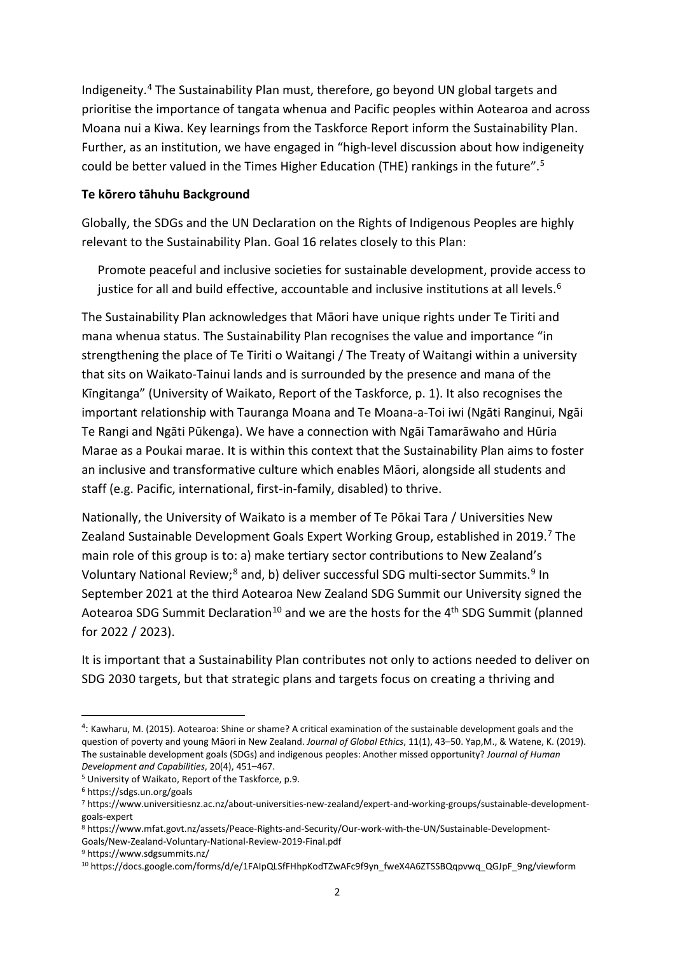Indigeneity. [4](#page-1-0) The Sustainability Plan must, therefore, go beyond UN global targets and prioritise the importance of tangata whenua and Pacific peoples within Aotearoa and across Moana nui a Kiwa. Key learnings from the Taskforce Report inform the Sustainability Plan. Further, as an institution, we have engaged in "high-level discussion about how indigeneity could be better valued in the Times Higher Education (THE) rankings in the future".[5](#page-1-1)

### **Te kōrero tāhuhu Background**

Globally, the SDGs and the UN Declaration on the Rights of Indigenous Peoples are highly relevant to the Sustainability Plan. Goal 16 relates closely to this Plan:

Promote peaceful and inclusive societies for sustainable development, provide access to justice for all and build effective, accountable and inclusive institutions at all levels.<sup>[6](#page-1-2)</sup>

The Sustainability Plan acknowledges that Māori have unique rights under Te Tiriti and mana whenua status. The Sustainability Plan recognises the value and importance "in strengthening the place of Te Tiriti o Waitangi / The Treaty of Waitangi within a university that sits on Waikato-Tainui lands and is surrounded by the presence and mana of the Kīngitanga" (University of Waikato, Report of the Taskforce, p. 1). It also recognises the important relationship with Tauranga Moana and Te Moana-a-Toi iwi (Ngāti Ranginui, Ngāi Te Rangi and Ngāti Pūkenga). We have a connection with Ngāi Tamarāwaho and Hūria Marae as a Poukai marae. It is within this context that the Sustainability Plan aims to foster an inclusive and transformative culture which enables Māori, alongside all students and staff (e.g. Pacific, international, first-in-family, disabled) to thrive.

Nationally, the University of Waikato is a member of Te Pōkai Tara / Universities New Zealand Sustainable Development Goals Expert Working Group, established in 2019.<sup>[7](#page-1-3)</sup> The main role of this group is to: a) make tertiary sector contributions to New Zealand's Voluntary National Review;<sup>[8](#page-1-4)</sup> and, b) deliver successful SDG multi-sector Summits.<sup>9</sup> In September 2021 at the third Aotearoa New Zealand SDG Summit our University signed the Aotearoa SDG Summit Declaration<sup>[10](#page-1-6)</sup> and we are the hosts for the  $4<sup>th</sup>$  SDG Summit (planned for 2022 / 2023).

It is important that a Sustainability Plan contributes not only to actions needed to deliver on SDG 2030 targets, but that strategic plans and targets focus on creating a thriving and

<span id="page-1-0"></span> $\frac{1}{4}$  $4$ : Kawharu, M. (2015). Aotearoa: Shine or shame? A critical examination of the sustainable development goals and the question of poverty and young Māori in New Zealand. *Journal of Global Ethics*, 11(1), 43–50. Yap,M., & Watene, K. (2019). The sustainable development goals (SDGs) and indigenous peoples: Another missed opportunity? *Journal of Human Development and Capabilities*, 20(4), 451–467.

<span id="page-1-1"></span><sup>5</sup> University of Waikato, Report of the Taskforce, p.9.

<span id="page-1-2"></span><sup>6</sup> https://sdgs.un.org/goals

<span id="page-1-3"></span><sup>7</sup> https://www.universitiesnz.ac.nz/about-universities-new-zealand/expert-and-working-groups/sustainable-developmentgoals-expert

<span id="page-1-4"></span><sup>8</sup> https://www.mfat.govt.nz/assets/Peace-Rights-and-Security/Our-work-with-the-UN/Sustainable-Development-Goals/New-Zealand-Voluntary-National-Review-2019-Final.pdf

<span id="page-1-5"></span><sup>9</sup> https://www.sdgsummits.nz/

<span id="page-1-6"></span><sup>10</sup> https://docs.google.com/forms/d/e/1FAIpQLSfFHhpKodTZwAFc9f9yn\_fweX4A6ZTSSBQqpvwq\_QGJpF\_9ng/viewform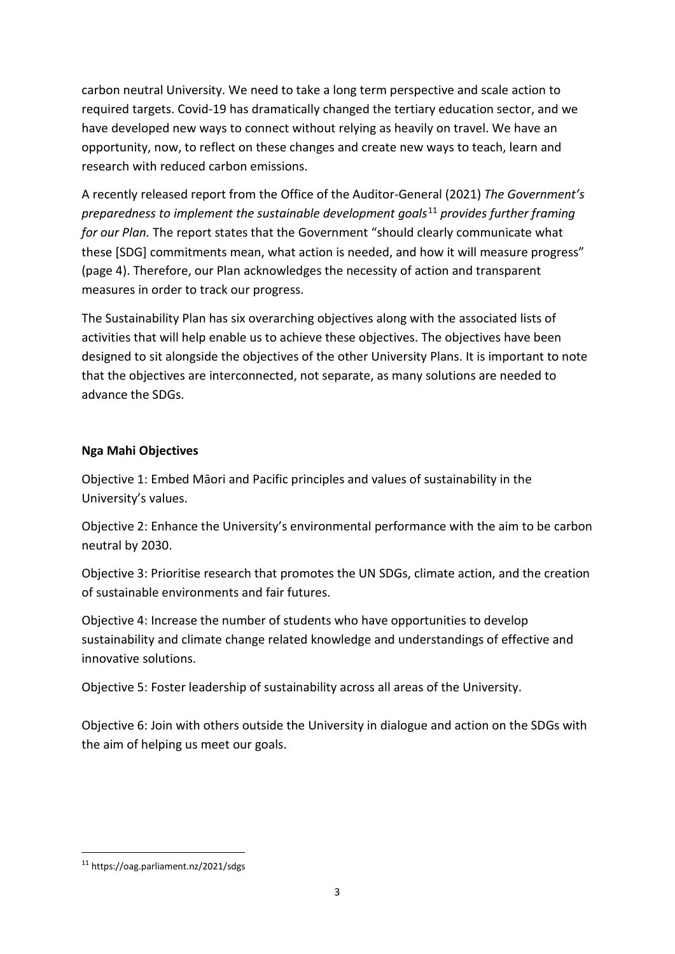carbon neutral University. We need to take a long term perspective and scale action to required targets. Covid-19 has dramatically changed the tertiary education sector, and we have developed new ways to connect without relying as heavily on travel. We have an opportunity, now, to reflect on these changes and create new ways to teach, learn and research with reduced carbon emissions.

A recently released report from the Office of the Auditor-General (2021) *The Government's preparedness to implement the sustainable development goals*[11](#page-2-0) *provides further framing for our Plan.* The report states that the Government "should clearly communicate what these [SDG] commitments mean, what action is needed, and how it will measure progress" (page 4). Therefore, our Plan acknowledges the necessity of action and transparent measures in order to track our progress.

The Sustainability Plan has six overarching objectives along with the associated lists of activities that will help enable us to achieve these objectives. The objectives have been designed to sit alongside the objectives of the other University Plans. It is important to note that the objectives are interconnected, not separate, as many solutions are needed to advance the SDGs.

## **Nga Mahi Objectives**

Objective 1: Embed Māori and Pacific principles and values of sustainability in the University's values.

Objective 2: Enhance the University's environmental performance with the aim to be carbon neutral by 2030.

Objective 3: Prioritise research that promotes the UN SDGs, climate action, and the creation of sustainable environments and fair futures.

Objective 4: Increase the number of students who have opportunities to develop sustainability and climate change related knowledge and understandings of effective and innovative solutions.

Objective 5: Foster leadership of sustainability across all areas of the University.

Objective 6: Join with others outside the University in dialogue and action on the SDGs with the aim of helping us meet our goals.

<span id="page-2-0"></span> <sup>11</sup> https://oag.parliament.nz/2021/sdgs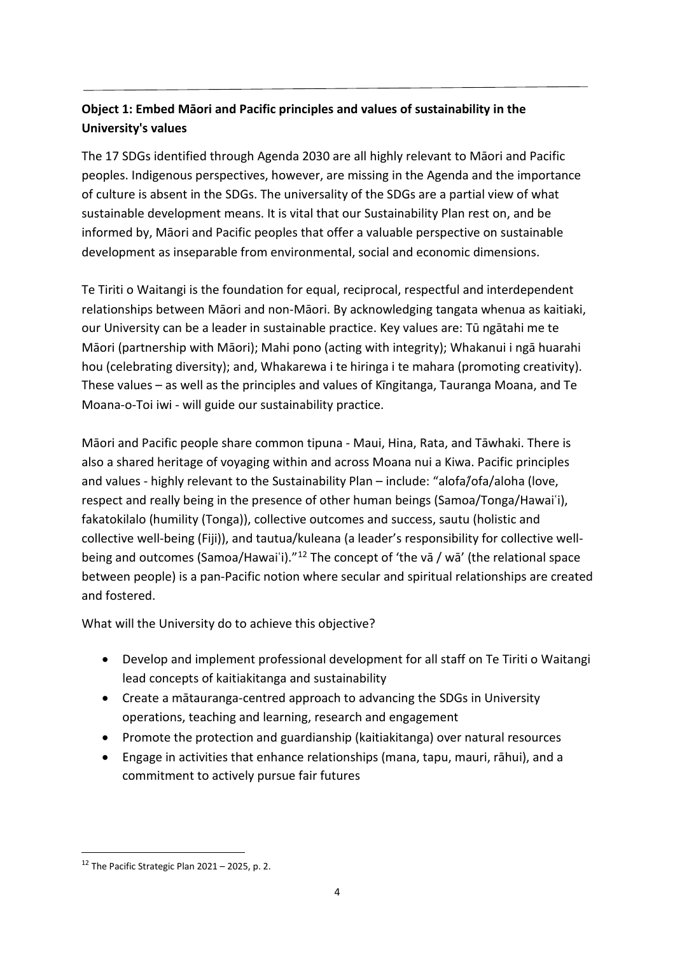# **Object 1: Embed Māori and Pacific principles and values of sustainability in the University's values**

The 17 SDGs identified through Agenda 2030 are all highly relevant to Māori and Pacific peoples. Indigenous perspectives, however, are missing in the Agenda and the importance of culture is absent in the SDGs. The universality of the SDGs are a partial view of what sustainable development means. It is vital that our Sustainability Plan rest on, and be informed by, Māori and Pacific peoples that offer a valuable perspective on sustainable development as inseparable from environmental, social and economic dimensions.

Te Tiriti o Waitangi is the foundation for equal, reciprocal, respectful and interdependent relationships between Māori and non-Māori. By acknowledging tangata whenua as kaitiaki, our University can be a leader in sustainable practice. Key values are: Tū ngātahi me te Māori (partnership with Māori); Mahi pono (acting with integrity); Whakanui i ngā huarahi hou (celebrating diversity); and, Whakarewa i te hiringa i te mahara (promoting creativity). These values – as well as the principles and values of Kīngitanga, Tauranga Moana, and Te Moana-o-Toi iwi - will guide our sustainability practice.

Māori and Pacific people share common tipuna - Maui, Hina, Rata, and Tāwhaki. There is also a shared heritage of voyaging within and across Moana nui a Kiwa. Pacific principles and values - highly relevant to the Sustainability Plan – include: "alofa/ofa/aloha (love, respect and really being in the presence of other human beings (Samoa/Tonga/Hawaiʿi), fakatokilalo (humility (Tonga)), collective outcomes and success, sautu (holistic and collective well-being (Fiji)), and tautua/kuleana (a leader's responsibility for collective well-being and outcomes (Samoa/Hawai`i)."<sup>[12](#page-3-0)</sup> The concept of 'the va / wa' (the relational space between people) is a pan-Pacific notion where secular and spiritual relationships are created and fostered.

What will the University do to achieve this objective?

- Develop and implement professional development for all staff on Te Tiriti o Waitangi lead concepts of kaitiakitanga and sustainability
- Create a mātauranga-centred approach to advancing the SDGs in University operations, teaching and learning, research and engagement
- Promote the protection and guardianship (kaitiakitanga) over natural resources
- Engage in activities that enhance relationships (mana, tapu, mauri, rāhui), and a commitment to actively pursue fair futures

<span id="page-3-0"></span> $12$  The Pacific Strategic Plan 2021 – 2025, p. 2.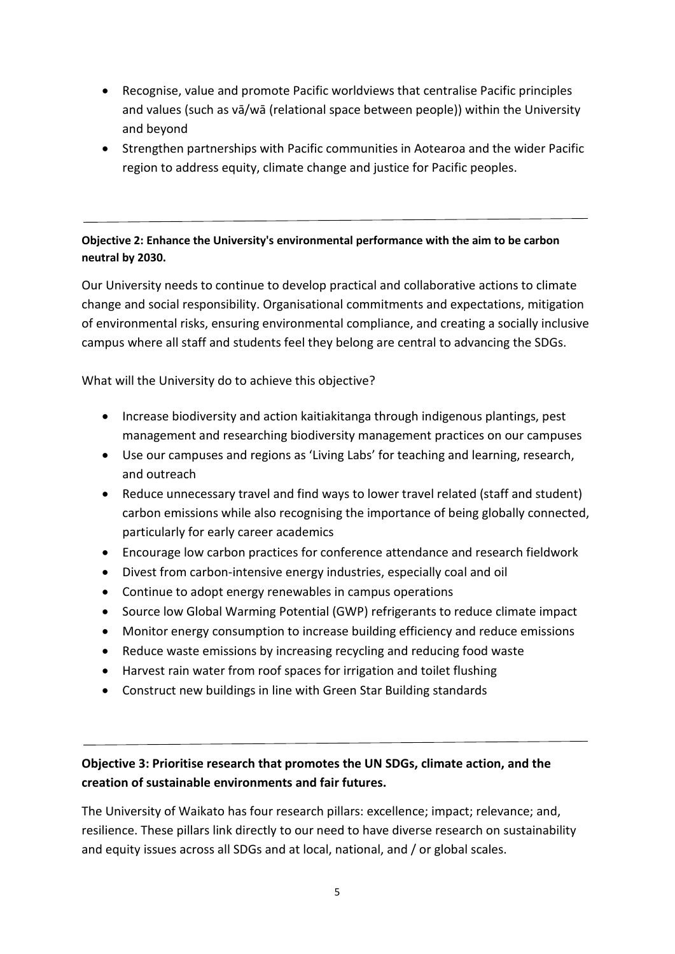- Recognise, value and promote Pacific worldviews that centralise Pacific principles and values (such as vā/wā (relational space between people)) within the University and beyond
- Strengthen partnerships with Pacific communities in Aotearoa and the wider Pacific region to address equity, climate change and justice for Pacific peoples.

## **Objective 2: Enhance the University's environmental performance with the aim to be carbon neutral by 2030.**

Our University needs to continue to develop practical and collaborative actions to climate change and social responsibility. Organisational commitments and expectations, mitigation of environmental risks, ensuring environmental compliance, and creating a socially inclusive campus where all staff and students feel they belong are central to advancing the SDGs.

What will the University do to achieve this objective?

- Increase biodiversity and action kaitiakitanga through indigenous plantings, pest management and researching biodiversity management practices on our campuses
- Use our campuses and regions as 'Living Labs' for teaching and learning, research, and outreach
- Reduce unnecessary travel and find ways to lower travel related (staff and student) carbon emissions while also recognising the importance of being globally connected, particularly for early career academics
- Encourage low carbon practices for conference attendance and research fieldwork
- Divest from carbon-intensive energy industries, especially coal and oil
- Continue to adopt energy renewables in campus operations
- Source low Global Warming Potential (GWP) refrigerants to reduce climate impact
- Monitor energy consumption to increase building efficiency and reduce emissions
- Reduce waste emissions by increasing recycling and reducing food waste
- Harvest rain water from roof spaces for irrigation and toilet flushing
- Construct new buildings in line with Green Star Building standards

# **Objective 3: Prioritise research that promotes the UN SDGs, climate action, and the creation of sustainable environments and fair futures.**

The University of Waikato has four research pillars: excellence; impact; relevance; and, resilience. These pillars link directly to our need to have diverse research on sustainability and equity issues across all SDGs and at local, national, and / or global scales.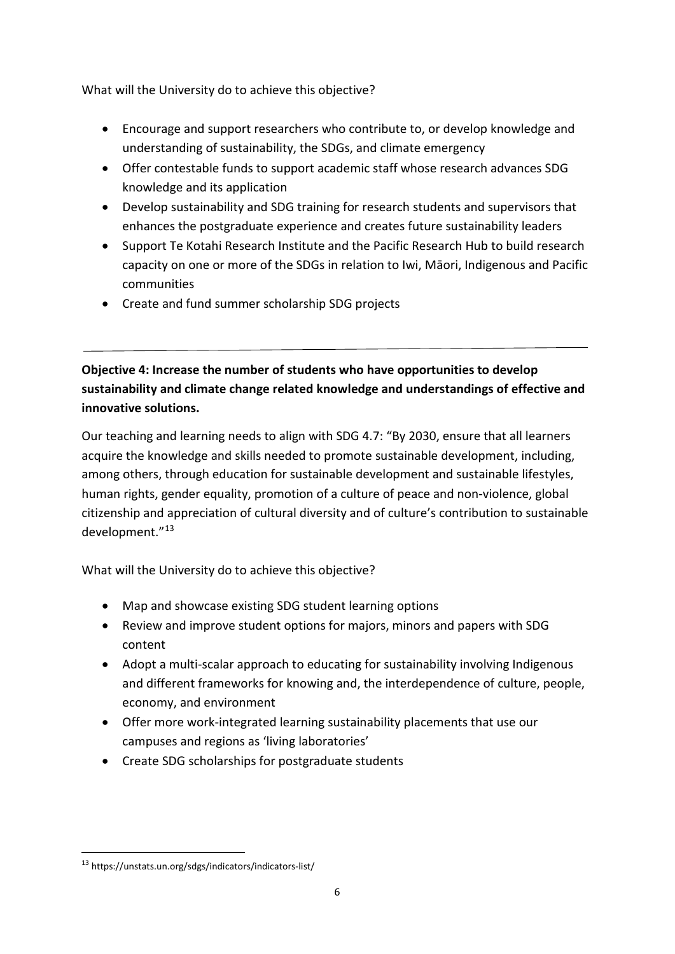What will the University do to achieve this objective?

- Encourage and support researchers who contribute to, or develop knowledge and understanding of sustainability, the SDGs, and climate emergency
- Offer contestable funds to support academic staff whose research advances SDG knowledge and its application
- Develop sustainability and SDG training for research students and supervisors that enhances the postgraduate experience and creates future sustainability leaders
- Support Te Kotahi Research Institute and the Pacific Research Hub to build research capacity on one or more of the SDGs in relation to Iwi, Māori, Indigenous and Pacific communities
- Create and fund summer scholarship SDG projects

# **Objective 4: Increase the number of students who have opportunities to develop sustainability and climate change related knowledge and understandings of effective and innovative solutions.**

Our teaching and learning needs to align with SDG 4.7: "By 2030, ensure that all learners acquire the knowledge and skills needed to promote sustainable development, including, among others, through education for sustainable development and sustainable lifestyles, human rights, gender equality, promotion of a culture of peace and non-violence, global citizenship and appreciation of cultural diversity and of culture's contribution to sustainable development."[13](#page-5-0)

What will the University do to achieve this objective?

- Map and showcase existing SDG student learning options
- Review and improve student options for majors, minors and papers with SDG content
- Adopt a multi-scalar approach to educating for sustainability involving Indigenous and different frameworks for knowing and, the interdependence of culture, people, economy, and environment
- Offer more work-integrated learning sustainability placements that use our campuses and regions as 'living laboratories'
- Create SDG scholarships for postgraduate students

<span id="page-5-0"></span> <sup>13</sup> https://unstats.un.org/sdgs/indicators/indicators-list/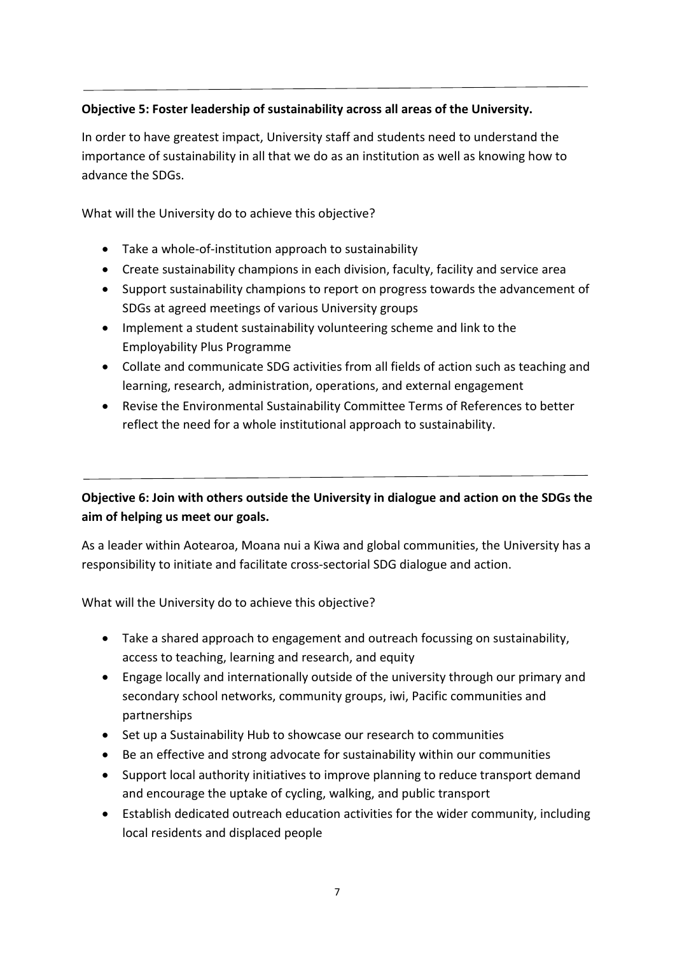## **Objective 5: Foster leadership of sustainability across all areas of the University.**

In order to have greatest impact, University staff and students need to understand the importance of sustainability in all that we do as an institution as well as knowing how to advance the SDGs.

What will the University do to achieve this objective?

- Take a whole-of-institution approach to sustainability
- Create sustainability champions in each division, faculty, facility and service area
- Support sustainability champions to report on progress towards the advancement of SDGs at agreed meetings of various University groups
- Implement a student sustainability volunteering scheme and link to the Employability Plus Programme
- Collate and communicate SDG activities from all fields of action such as teaching and learning, research, administration, operations, and external engagement
- Revise the Environmental Sustainability Committee Terms of References to better reflect the need for a whole institutional approach to sustainability.

## **Objective 6: Join with others outside the University in dialogue and action on the SDGs the aim of helping us meet our goals.**

As a leader within Aotearoa, Moana nui a Kiwa and global communities, the University has a responsibility to initiate and facilitate cross-sectorial SDG dialogue and action.

What will the University do to achieve this objective?

- Take a shared approach to engagement and outreach focussing on sustainability, access to teaching, learning and research, and equity
- Engage locally and internationally outside of the university through our primary and secondary school networks, community groups, iwi, Pacific communities and partnerships
- Set up a Sustainability Hub to showcase our research to communities
- Be an effective and strong advocate for sustainability within our communities
- Support local authority initiatives to improve planning to reduce transport demand and encourage the uptake of cycling, walking, and public transport
- Establish dedicated outreach education activities for the wider community, including local residents and displaced people